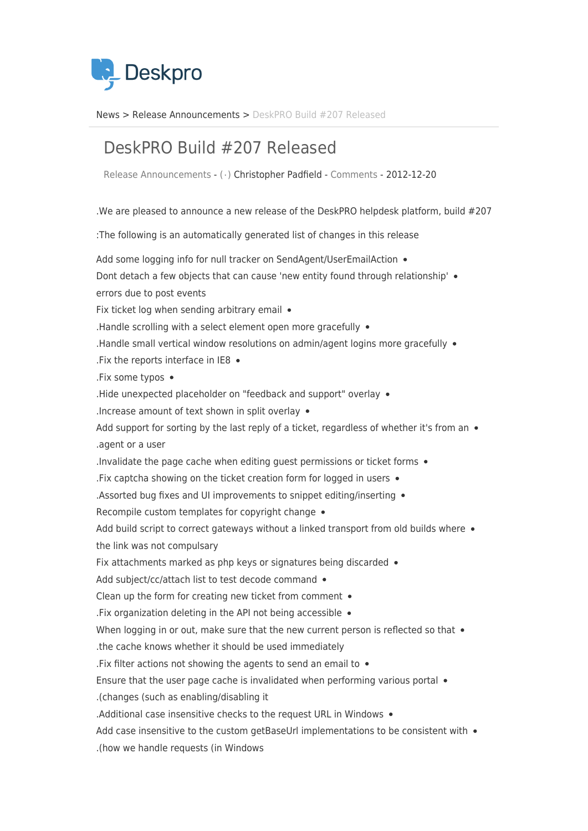

News> Release Announcements > DeskPRO Build #207 Released

## DeskPRO Build #207 Released

Release Announcements - ( · ) Christopher Padfield - [Comments](#page--1-0) - 2012-12-20

. We are pleased to announce a new release of the DeskPRO helpdesk platform, build  $#207$ 

: The following is an automatically generated list of changes in this release

Add some logging info for null tracker on SendAgent/UserEmailAction . Dont detach a few objects that can cause 'new entity found through relationship' . errors due to post events Fix ticket log when sending arbitrary email  $\bullet$ . Handle scrolling with a select element open more gracefully  $\bullet$  $R$  . Handle small vertical window resolutions on admin/agent logins more gracefully  $\bullet$ . Fix the reports interface in IE8  $\bullet$ .Fix some typos • . Hide unexpected placeholder on "feedback and support" overlay  $\bullet$ . Increase amount of text shown in split overlay  $\bullet$ Add support for sorting by the last reply of a ticket, regardless of whether it's from an  $\bullet$ agent or a user. Invalidate the page cache when editing quest permissions or ticket forms  $\bullet$ . Fix captcha showing on the ticket creation form for logged in users  $\bullet$ . Assorted bug fixes and UI improvements to snippet editing/inserting  $\bullet$ Recompile custom templates for copyright change  $\bullet$ Add build script to correct gateways without a linked transport from old builds where  $\bullet$ the link was not compulsary Fix attachments marked as php keys or signatures being discarded  $\bullet$ Add subject/cc/attach list to test decode command . Clean up the form for creating new ticket from comment  $\bullet$ . Fix organization deleting in the API not being accessible  $\bullet$ When logging in or out, make sure that the new current person is reflected so that  $\bullet$ the cache knows whether it should be used immediately . Fix filter actions not showing the agents to send an email to  $\bullet$ Ensure that the user page cache is invalidated when performing various portal  $\bullet$ it (changes (such as enabling/disabling it). . Additional case insensitive checks to the request URL in Windows  $\bullet$ Add case insensitive to the custom getBaseUrl implementations to be consistent with  $\bullet$ In Windows in Windows (in Windows).